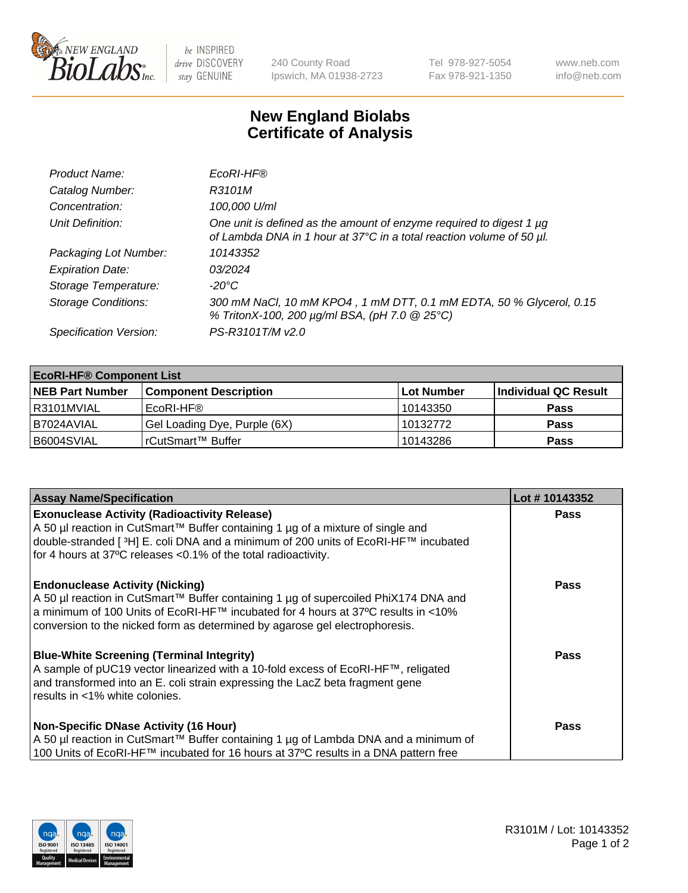

 $be$  INSPIRED drive DISCOVERY stay GENUINE

240 County Road Ipswich, MA 01938-2723 Tel 978-927-5054 Fax 978-921-1350 www.neb.com info@neb.com

## **New England Biolabs Certificate of Analysis**

| Product Name:              | EcoRI-HF®                                                                                                                                   |
|----------------------------|---------------------------------------------------------------------------------------------------------------------------------------------|
| Catalog Number:            | R3101M                                                                                                                                      |
| Concentration:             | 100,000 U/ml                                                                                                                                |
| Unit Definition:           | One unit is defined as the amount of enzyme required to digest 1 µg<br>of Lambda DNA in 1 hour at 37°C in a total reaction volume of 50 µl. |
| Packaging Lot Number:      | 10143352                                                                                                                                    |
| <b>Expiration Date:</b>    | 03/2024                                                                                                                                     |
| Storage Temperature:       | -20°C                                                                                                                                       |
| <b>Storage Conditions:</b> | 300 mM NaCl, 10 mM KPO4, 1 mM DTT, 0.1 mM EDTA, 50 % Glycerol, 0.15<br>% TritonX-100, 200 µg/ml BSA, (pH 7.0 @ 25°C)                        |
| Specification Version:     | PS-R3101T/M v2.0                                                                                                                            |

| <b>EcoRI-HF® Component List</b> |                              |                   |                      |  |  |
|---------------------------------|------------------------------|-------------------|----------------------|--|--|
| <b>NEB Part Number</b>          | <b>Component Description</b> | <b>Lot Number</b> | Individual QC Result |  |  |
| I R3101MVIAL                    | EcoRI-HF®                    | 10143350          | <b>Pass</b>          |  |  |
| B7024AVIAL                      | Gel Loading Dye, Purple (6X) | 10132772          | <b>Pass</b>          |  |  |
| B6004SVIAL                      | l rCutSmart™ Buffer          | 10143286          | <b>Pass</b>          |  |  |

| <b>Assay Name/Specification</b>                                                                                                                                                                                                                                                                       | Lot #10143352 |
|-------------------------------------------------------------------------------------------------------------------------------------------------------------------------------------------------------------------------------------------------------------------------------------------------------|---------------|
| <b>Exonuclease Activity (Radioactivity Release)</b>                                                                                                                                                                                                                                                   | <b>Pass</b>   |
| A 50 µl reaction in CutSmart™ Buffer containing 1 µg of a mixture of single and<br>double-stranded [ <sup>3</sup> H] E. coli DNA and a minimum of 200 units of EcoRI-HF™ incubated<br>for 4 hours at 37°C releases <0.1% of the total radioactivity.                                                  |               |
| <b>Endonuclease Activity (Nicking)</b><br>  A 50 µl reaction in CutSmart™ Buffer containing 1 µg of supercoiled PhiX174 DNA and<br>  a minimum of 100 Units of EcoRI-HF™ incubated for 4 hours at 37°C results in <10%<br>conversion to the nicked form as determined by agarose gel electrophoresis. | Pass          |
| <b>Blue-White Screening (Terminal Integrity)</b><br>A sample of pUC19 vector linearized with a 10-fold excess of EcoRI-HF™, religated<br>and transformed into an E. coli strain expressing the LacZ beta fragment gene<br>results in <1% white colonies.                                              | Pass          |
| <b>Non-Specific DNase Activity (16 Hour)</b><br>A 50 µl reaction in CutSmart™ Buffer containing 1 µg of Lambda DNA and a minimum of<br>100 Units of EcoRI-HF™ incubated for 16 hours at 37°C results in a DNA pattern free                                                                            | <b>Pass</b>   |